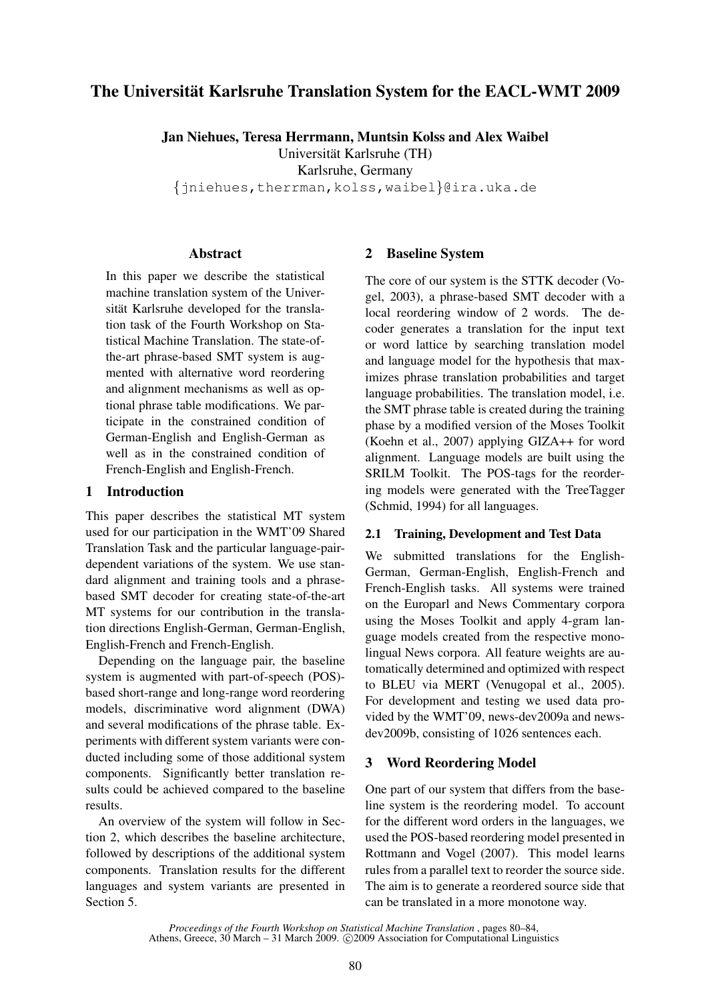# The Universität Karlsruhe Translation System for the EACL-WMT 2009

Jan Niehues, Teresa Herrmann, Muntsin Kolss and Alex Waibel

Universitat Karlsruhe (TH) ¨

Karlsruhe, Germany

{jniehues,therrman,kolss,waibel}@ira.uka.de

### Abstract

In this paper we describe the statistical machine translation system of the Universität Karlsruhe developed for the translation task of the Fourth Workshop on Statistical Machine Translation. The state-ofthe-art phrase-based SMT system is augmented with alternative word reordering and alignment mechanisms as well as optional phrase table modifications. We participate in the constrained condition of German-English and English-German as well as in the constrained condition of French-English and English-French.

## 1 Introduction

This paper describes the statistical MT system used for our participation in the WMT'09 Shared Translation Task and the particular language-pairdependent variations of the system. We use standard alignment and training tools and a phrasebased SMT decoder for creating state-of-the-art MT systems for our contribution in the translation directions English-German, German-English, English-French and French-English.

Depending on the language pair, the baseline system is augmented with part-of-speech (POS) based short-range and long-range word reordering models, discriminative word alignment (DWA) and several modifications of the phrase table. Experiments with different system variants were conducted including some of those additional system components. Significantly better translation results could be achieved compared to the baseline results.

An overview of the system will follow in Section 2, which describes the baseline architecture, followed by descriptions of the additional system components. Translation results for the different languages and system variants are presented in Section 5.

## 2 Baseline System

The core of our system is the STTK decoder (Vogel, 2003), a phrase-based SMT decoder with a local reordering window of 2 words. The decoder generates a translation for the input text or word lattice by searching translation model and language model for the hypothesis that maximizes phrase translation probabilities and target language probabilities. The translation model, i.e. the SMT phrase table is created during the training phase by a modified version of the Moses Toolkit (Koehn et al., 2007) applying GIZA++ for word alignment. Language models are built using the SRILM Toolkit. The POS-tags for the reordering models were generated with the TreeTagger (Schmid, 1994) for all languages.

### 2.1 Training, Development and Test Data

We submitted translations for the English-German, German-English, English-French and French-English tasks. All systems were trained on the Europarl and News Commentary corpora using the Moses Toolkit and apply 4-gram language models created from the respective monolingual News corpora. All feature weights are automatically determined and optimized with respect to BLEU via MERT (Venugopal et al., 2005). For development and testing we used data provided by the WMT'09, news-dev2009a and newsdev2009b, consisting of 1026 sentences each.

## 3 Word Reordering Model

One part of our system that differs from the baseline system is the reordering model. To account for the different word orders in the languages, we used the POS-based reordering model presented in Rottmann and Vogel (2007). This model learns rules from a parallel text to reorder the source side. The aim is to generate a reordered source side that can be translated in a more monotone way.

*Proceedings of the Fourth Workshop on Statistical Machine Translation* , pages 80–84, Athens, Greece, 30 March – 31 March 2009. © 2009 Association for Computational Linguistics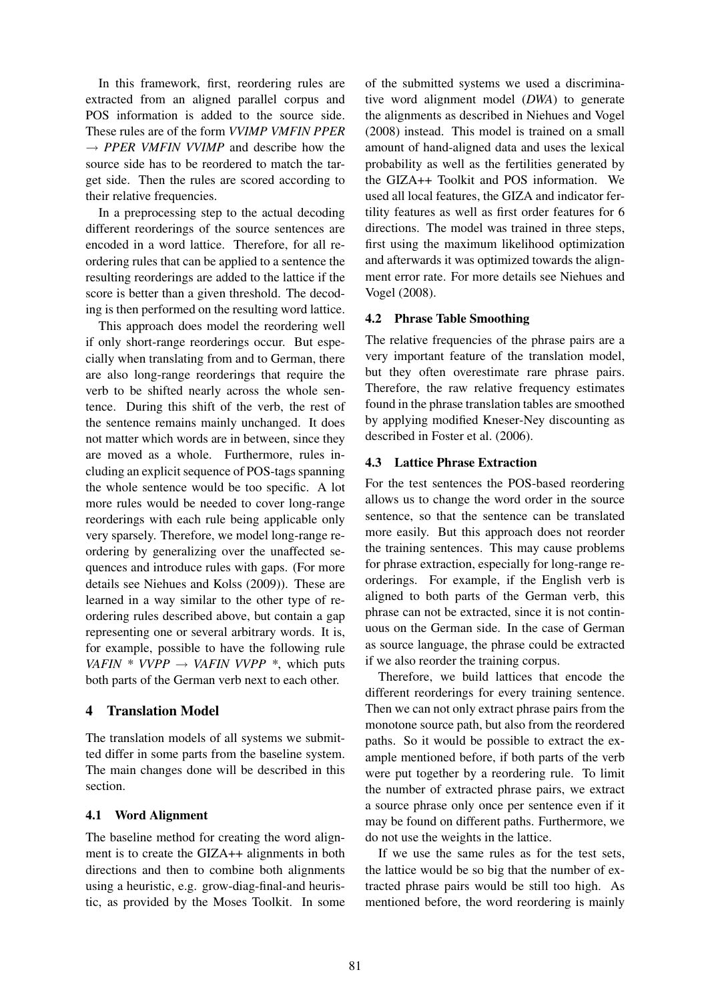In this framework, first, reordering rules are extracted from an aligned parallel corpus and POS information is added to the source side. These rules are of the form *VVIMP VMFIN PPER*  $\rightarrow$  *PPER VMFIN VVIMP* and describe how the source side has to be reordered to match the target side. Then the rules are scored according to their relative frequencies.

In a preprocessing step to the actual decoding different reorderings of the source sentences are encoded in a word lattice. Therefore, for all reordering rules that can be applied to a sentence the resulting reorderings are added to the lattice if the score is better than a given threshold. The decoding is then performed on the resulting word lattice.

This approach does model the reordering well if only short-range reorderings occur. But especially when translating from and to German, there are also long-range reorderings that require the verb to be shifted nearly across the whole sentence. During this shift of the verb, the rest of the sentence remains mainly unchanged. It does not matter which words are in between, since they are moved as a whole. Furthermore, rules including an explicit sequence of POS-tags spanning the whole sentence would be too specific. A lot more rules would be needed to cover long-range reorderings with each rule being applicable only very sparsely. Therefore, we model long-range reordering by generalizing over the unaffected sequences and introduce rules with gaps. (For more details see Niehues and Kolss (2009)). These are learned in a way similar to the other type of reordering rules described above, but contain a gap representing one or several arbitrary words. It is, for example, possible to have the following rule *VAFIN \* VVPP*  $\rightarrow$  *VAFIN VVPP* \*, which puts both parts of the German verb next to each other.

### 4 Translation Model

The translation models of all systems we submitted differ in some parts from the baseline system. The main changes done will be described in this section.

### 4.1 Word Alignment

The baseline method for creating the word alignment is to create the GIZA++ alignments in both directions and then to combine both alignments using a heuristic, e.g. grow-diag-final-and heuristic, as provided by the Moses Toolkit. In some

of the submitted systems we used a discriminative word alignment model (*DWA*) to generate the alignments as described in Niehues and Vogel (2008) instead. This model is trained on a small amount of hand-aligned data and uses the lexical probability as well as the fertilities generated by the GIZA++ Toolkit and POS information. We used all local features, the GIZA and indicator fertility features as well as first order features for 6 directions. The model was trained in three steps, first using the maximum likelihood optimization and afterwards it was optimized towards the alignment error rate. For more details see Niehues and Vogel (2008).

#### 4.2 Phrase Table Smoothing

The relative frequencies of the phrase pairs are a very important feature of the translation model, but they often overestimate rare phrase pairs. Therefore, the raw relative frequency estimates found in the phrase translation tables are smoothed by applying modified Kneser-Ney discounting as described in Foster et al. (2006).

#### 4.3 Lattice Phrase Extraction

For the test sentences the POS-based reordering allows us to change the word order in the source sentence, so that the sentence can be translated more easily. But this approach does not reorder the training sentences. This may cause problems for phrase extraction, especially for long-range reorderings. For example, if the English verb is aligned to both parts of the German verb, this phrase can not be extracted, since it is not continuous on the German side. In the case of German as source language, the phrase could be extracted if we also reorder the training corpus.

Therefore, we build lattices that encode the different reorderings for every training sentence. Then we can not only extract phrase pairs from the monotone source path, but also from the reordered paths. So it would be possible to extract the example mentioned before, if both parts of the verb were put together by a reordering rule. To limit the number of extracted phrase pairs, we extract a source phrase only once per sentence even if it may be found on different paths. Furthermore, we do not use the weights in the lattice.

If we use the same rules as for the test sets, the lattice would be so big that the number of extracted phrase pairs would be still too high. As mentioned before, the word reordering is mainly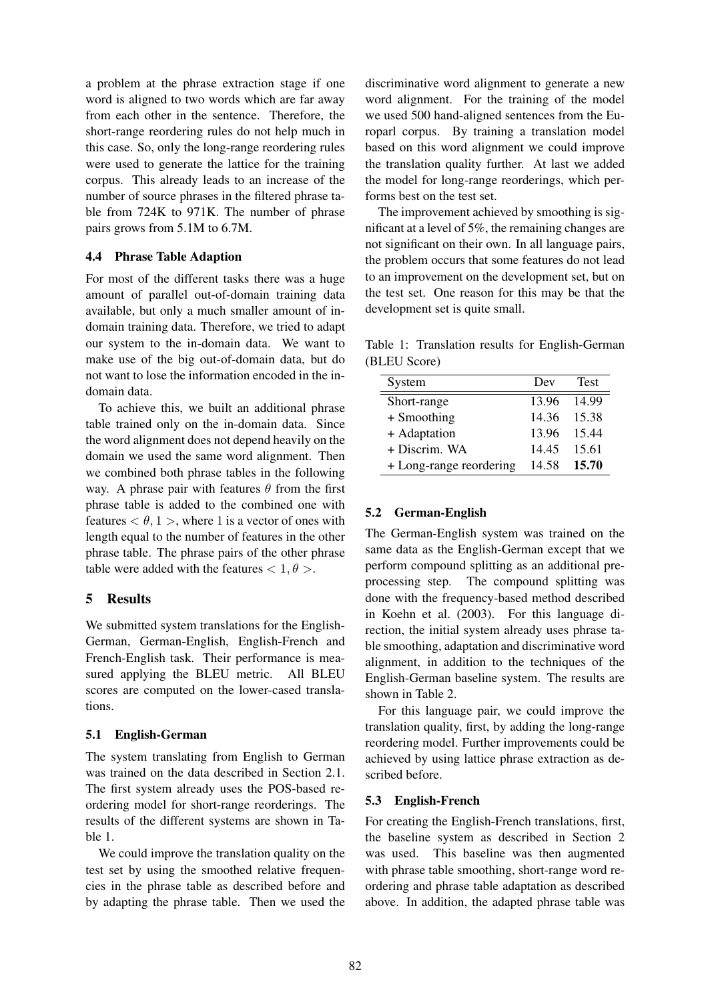a problem at the phrase extraction stage if one word is aligned to two words which are far away from each other in the sentence. Therefore, the short-range reordering rules do not help much in this case. So, only the long-range reordering rules were used to generate the lattice for the training corpus. This already leads to an increase of the number of source phrases in the filtered phrase table from 724K to 971K. The number of phrase pairs grows from 5.1M to 6.7M.

#### 4.4 Phrase Table Adaption

For most of the different tasks there was a huge amount of parallel out-of-domain training data available, but only a much smaller amount of indomain training data. Therefore, we tried to adapt our system to the in-domain data. We want to make use of the big out-of-domain data, but do not want to lose the information encoded in the indomain data.

To achieve this, we built an additional phrase table trained only on the in-domain data. Since the word alignment does not depend heavily on the domain we used the same word alignment. Then we combined both phrase tables in the following way. A phrase pair with features  $\theta$  from the first phrase table is added to the combined one with features  $< \theta$ , 1 >, where 1 is a vector of ones with length equal to the number of features in the other phrase table. The phrase pairs of the other phrase table were added with the features  $< 1, \theta >$ .

### 5 Results

We submitted system translations for the English-German, German-English, English-French and French-English task. Their performance is measured applying the BLEU metric. All BLEU scores are computed on the lower-cased translations.

#### 5.1 English-German

The system translating from English to German was trained on the data described in Section 2.1. The first system already uses the POS-based reordering model for short-range reorderings. The results of the different systems are shown in Table 1.

We could improve the translation quality on the test set by using the smoothed relative frequencies in the phrase table as described before and by adapting the phrase table. Then we used the

discriminative word alignment to generate a new word alignment. For the training of the model we used 500 hand-aligned sentences from the Europarl corpus. By training a translation model based on this word alignment we could improve the translation quality further. At last we added the model for long-range reorderings, which performs best on the test set.

The improvement achieved by smoothing is significant at a level of 5%, the remaining changes are not significant on their own. In all language pairs, the problem occurs that some features do not lead to an improvement on the development set, but on the test set. One reason for this may be that the development set is quite small.

Table 1: Translation results for English-German (BLEU Score)

| System                  | Dev   | <b>Test</b> |
|-------------------------|-------|-------------|
| Short-range             | 13.96 | 14.99       |
| $+$ Smoothing           | 14.36 | 15.38       |
| + Adaptation            | 13.96 | 15.44       |
| + Discrim. WA           | 14.45 | 15.61       |
| + Long-range reordering | 14.58 | 15.70       |

#### 5.2 German-English

The German-English system was trained on the same data as the English-German except that we perform compound splitting as an additional preprocessing step. The compound splitting was done with the frequency-based method described in Koehn et al. (2003). For this language direction, the initial system already uses phrase table smoothing, adaptation and discriminative word alignment, in addition to the techniques of the English-German baseline system. The results are shown in Table 2.

For this language pair, we could improve the translation quality, first, by adding the long-range reordering model. Further improvements could be achieved by using lattice phrase extraction as described before.

#### 5.3 English-French

For creating the English-French translations, first, the baseline system as described in Section 2 was used. This baseline was then augmented with phrase table smoothing, short-range word reordering and phrase table adaptation as described above. In addition, the adapted phrase table was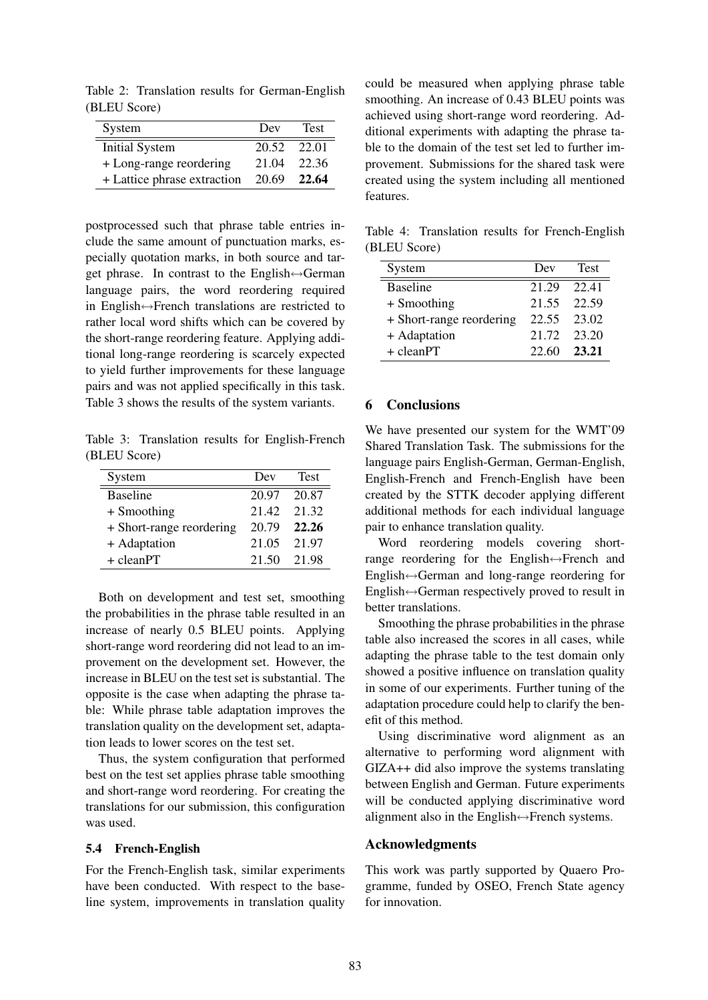Table 2: Translation results for German-English (BLEU Score)

| System                      | Dev         | <b>Test</b> |
|-----------------------------|-------------|-------------|
| <b>Initial System</b>       | 20.52       | 22.01       |
| + Long-range reordering     | 21.04       | 22.36       |
| + Lattice phrase extraction | 20.69 22.64 |             |

postprocessed such that phrase table entries include the same amount of punctuation marks, especially quotation marks, in both source and target phrase. In contrast to the English↔German language pairs, the word reordering required in English↔French translations are restricted to rather local word shifts which can be covered by the short-range reordering feature. Applying additional long-range reordering is scarcely expected to yield further improvements for these language pairs and was not applied specifically in this task. Table 3 shows the results of the system variants.

Table 3: Translation results for English-French (BLEU Score)

| System                   | Dev         | <b>Test</b> |
|--------------------------|-------------|-------------|
| <b>Baseline</b>          | 20.97 20.87 |             |
| $+$ Smoothing            | 21.42 21.32 |             |
| + Short-range reordering | 20.79       | 22.26       |
| + Adaptation             | 21.05 21.97 |             |
| $+$ cleanPT              | 21.50       | 21.98       |

Both on development and test set, smoothing the probabilities in the phrase table resulted in an increase of nearly 0.5 BLEU points. Applying short-range word reordering did not lead to an improvement on the development set. However, the increase in BLEU on the test set is substantial. The opposite is the case when adapting the phrase table: While phrase table adaptation improves the translation quality on the development set, adaptation leads to lower scores on the test set.

Thus, the system configuration that performed best on the test set applies phrase table smoothing and short-range word reordering. For creating the translations for our submission, this configuration was used.

#### 5.4 French-English

For the French-English task, similar experiments have been conducted. With respect to the baseline system, improvements in translation quality

could be measured when applying phrase table smoothing. An increase of 0.43 BLEU points was achieved using short-range word reordering. Additional experiments with adapting the phrase table to the domain of the test set led to further improvement. Submissions for the shared task were created using the system including all mentioned features.

Table 4: Translation results for French-English (BLEU Score)

| System                   | Dev   | <b>Test</b> |
|--------------------------|-------|-------------|
| <b>Baseline</b>          | 21.29 | 22.41       |
| $+$ Smoothing            | 21.55 | 22.59       |
| + Short-range reordering | 22.55 | 23.02       |
| + Adaptation             | 21.72 | 23.20       |
| $+$ cleanPT              | 22.60 | 23.21       |

#### 6 Conclusions

We have presented our system for the WMT'09 Shared Translation Task. The submissions for the language pairs English-German, German-English, English-French and French-English have been created by the STTK decoder applying different additional methods for each individual language pair to enhance translation quality.

Word reordering models covering shortrange reordering for the English↔French and English↔German and long-range reordering for English↔German respectively proved to result in better translations.

Smoothing the phrase probabilities in the phrase table also increased the scores in all cases, while adapting the phrase table to the test domain only showed a positive influence on translation quality in some of our experiments. Further tuning of the adaptation procedure could help to clarify the benefit of this method.

Using discriminative word alignment as an alternative to performing word alignment with GIZA++ did also improve the systems translating between English and German. Future experiments will be conducted applying discriminative word alignment also in the English↔French systems.

#### Acknowledgments

This work was partly supported by Quaero Programme, funded by OSEO, French State agency for innovation.